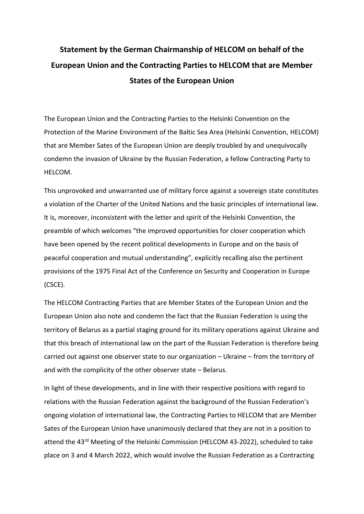## **Statement by the German Chairmanship of HELCOM on behalf of the European Union and the Contracting Parties to HELCOM that are Member States of the European Union**

The European Union and the Contracting Parties to the Helsinki Convention on the Protection of the Marine Environment of the Baltic Sea Area (Helsinki Convention, HELCOM) that are Member Sates of the European Union are deeply troubled by and unequivocally condemn the invasion of Ukraine by the Russian Federation, a fellow Contracting Party to HELCOM.

This unprovoked and unwarranted use of military force against a sovereign state constitutes a violation of the Charter of the United Nations and the basic principles of international law. It is, moreover, inconsistent with the letter and spirit of the Helsinki Convention, the preamble of which welcomes "the improved opportunities for closer cooperation which have been opened by the recent political developments in Europe and on the basis of peaceful cooperation and mutual understanding", explicitly recalling also the pertinent provisions of the 1975 Final Act of the Conference on Security and Cooperation in Europe (CSCE).

The HELCOM Contracting Parties that are Member States of the European Union and the European Union also note and condemn the fact that the Russian Federation is using the territory of Belarus as a partial staging ground for its military operations against Ukraine and that this breach of international law on the part of the Russian Federation is therefore being carried out against one observer state to our organization – Ukraine – from the territory of and with the complicity of the other observer state – Belarus.

In light of these developments, and in line with their respective positions with regard to relations with the Russian Federation against the background of the Russian Federation's ongoing violation of international law, the Contracting Parties to HELCOM that are Member Sates of the European Union have unanimously declared that they are not in a position to attend the 43<sup>rd</sup> Meeting of the Helsinki Commission (HELCOM 43-2022), scheduled to take place on 3 and 4 March 2022, which would involve the Russian Federation as a Contracting